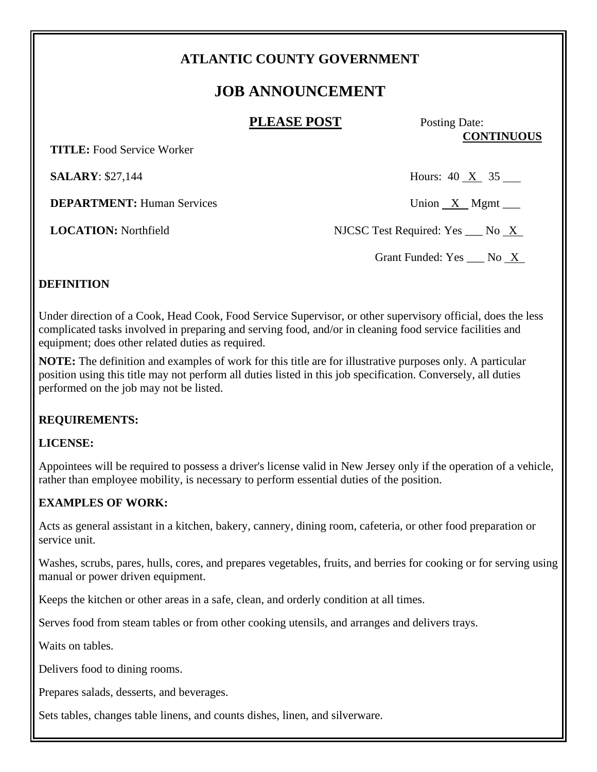# **ATLANTIC COUNTY GOVERNMENT**

# **JOB ANNOUNCEMENT**

## **PLEASE POST** Posting Date:

**CONTINUOUS**

 **TITLE:** Food Service Worker

**DEPARTMENT:** Human Services Union X Mgmt \_\_\_

**SALARY**: \$27,144 Hours: 40 X 35

**LOCATION:** Northfield NJCSC Test Required: Yes No X

Grant Funded: Yes \_\_\_ No X

## **DEFINITION**

Under direction of a Cook, Head Cook, Food Service Supervisor, or other supervisory official, does the less complicated tasks involved in preparing and serving food, and/or in cleaning food service facilities and equipment; does other related duties as required.

**NOTE:** The definition and examples of work for this title are for illustrative purposes only. A particular position using this title may not perform all duties listed in this job specification. Conversely, all duties performed on the job may not be listed.

#### **REQUIREMENTS:**

#### **LICENSE:**

Appointees will be required to possess a driver's license valid in New Jersey only if the operation of a vehicle, rather than employee mobility, is necessary to perform essential duties of the position.

## **EXAMPLES OF WORK:**

Acts as general assistant in a kitchen, bakery, cannery, dining room, cafeteria, or other food preparation or service unit.

Washes, scrubs, pares, hulls, cores, and prepares vegetables, fruits, and berries for cooking or for serving using manual or power driven equipment.

Keeps the kitchen or other areas in a safe, clean, and orderly condition at all times.

Serves food from steam tables or from other cooking utensils, and arranges and delivers trays.

Waits on tables.

Delivers food to dining rooms.

Prepares salads, desserts, and beverages.

Sets tables, changes table linens, and counts dishes, linen, and silverware.